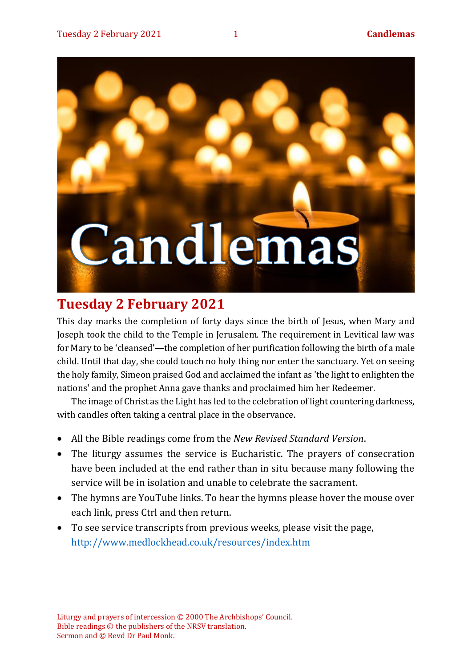

# **Tuesday 2 February 2021**

This day marks the completion of forty days since the birth of Jesus, when Mary and Joseph took the child to the Temple in Jerusalem. The requirement in Levitical law was for Mary to be 'cleansed'—the completion of her purification following the birth of a male child. Until that day, she could touch no holy thing nor enter the sanctuary. Yet on seeing the holy family, Simeon praised God and acclaimed the infant as 'the light to enlighten the nations' and the prophet Anna gave thanks and proclaimed him her Redeemer.

The image of Christ as the Light has led to the celebration of light countering darkness, with candles often taking a central place in the observance.

- All the Bible readings come from the *New Revised Standard Version*.
- The liturgy assumes the service is Eucharistic. The prayers of consecration have been included at the end rather than in situ because many following the service will be in isolation and unable to celebrate the sacrament.
- The hymns are YouTube links. To hear the hymns please hover the mouse over each link, press Ctrl and then return.
- To see service transcripts from previous weeks, please visit the page, <http://www.medlockhead.co.uk/resources/index.htm>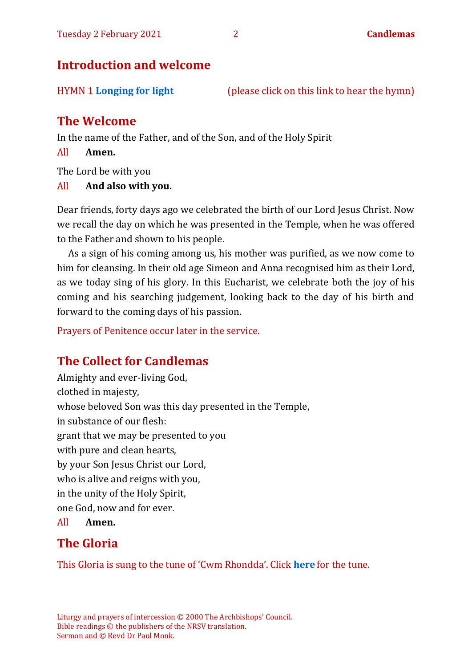## **Introduction and welcome**

HYMN 1 **[Longing for light](https://youtu.be/ZJq3bhdgQoc)** (please click on this link to hear the hymn)

## **The Welcome**

In the name of the Father, and of the Son, and of the Holy Spirit

All **Amen.**

The Lord be with you

All **And also with you.**

Dear friends, forty days ago we celebrated the birth of our Lord Jesus Christ. Now we recall the day on which he was presented in the Temple, when he was offered to the Father and shown to his people.

As a sign of his coming among us, his mother was purified, as we now come to him for cleansing. In their old age Simeon and Anna recognised him as their Lord, as we today sing of his glory. In this Eucharist, we celebrate both the joy of his coming and his searching judgement, looking back to the day of his birth and forward to the coming days of his passion.

Prayers of Penitence occur later in the service.

## **The Collect for Candlemas**

Almighty and ever-living God, clothed in majesty, whose beloved Son was this day presented in the Temple, in substance of our flesh: grant that we may be presented to you with pure and clean hearts, by your Son Jesus Christ our Lord, who is alive and reigns with you, in the unity of the Holy Spirit, one God, now and for ever. All **Amen.**

## **The Gloria**

This Gloria is sung to the tune of 'Cwm Rhondda'. Click **[here](about:blank)** for the tune.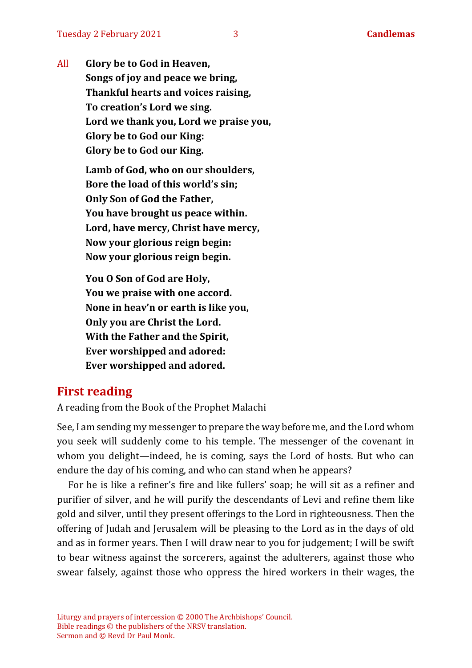All **Glory be to God in Heaven, Songs of joy and peace we bring, Thankful hearts and voices raising, To creation's Lord we sing. Lord we thank you, Lord we praise you, Glory be to God our King: Glory be to God our King. Lamb of God, who on our shoulders, Bore the load of this world's sin;**

> **Only Son of God the Father, You have brought us peace within.**

**Lord, have mercy, Christ have mercy, Now your glorious reign begin:**

**Now your glorious reign begin.**

**You O Son of God are Holy, You we praise with one accord. None in heav'n or earth is like you, Only you are Christ the Lord. With the Father and the Spirit, Ever worshipped and adored: Ever worshipped and adored.**

## **First reading**

A reading from the Book of the Prophet Malachi

See, I am sending my messenger to prepare the way before me, and the Lord whom you seek will suddenly come to his temple. The messenger of the covenant in whom you delight—indeed, he is coming, says the Lord of hosts. But who can endure the day of his coming, and who can stand when he appears?

For he is like a refiner's fire and like fullers' soap; he will sit as a refiner and purifier of silver, and he will purify the descendants of Levi and refine them like gold and silver, until they present offerings to the Lord in righteousness. Then the offering of Judah and Jerusalem will be pleasing to the Lord as in the days of old and as in former years. Then I will draw near to you for judgement; I will be swift to bear witness against the sorcerers, against the adulterers, against those who swear falsely, against those who oppress the hired workers in their wages, the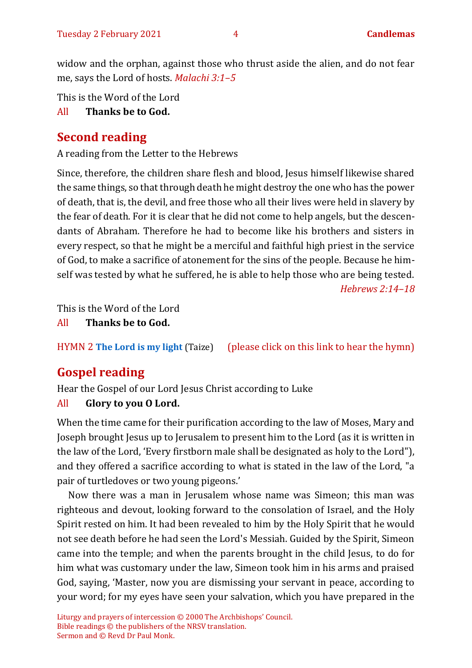widow and the orphan, against those who thrust aside the alien, and do not fear me, says the Lord of hosts. *Malachi 3:1–5*

This is the Word of the Lord

All **Thanks be to God.**

## **Second reading**

A reading from the Letter to the Hebrews

Since, therefore, the children share flesh and blood, Jesus himself likewise shared the same things, so that through death he might destroy the one who has the power of death, that is, the devil, and free those who all their lives were held in slavery by the fear of death. For it is clear that he did not come to help angels, but the descendants of Abraham. Therefore he had to become like his brothers and sisters in every respect, so that he might be a merciful and faithful high priest in the service of God, to make a sacrifice of atonement for the sins of the people. Because he himself was tested by what he suffered, he is able to help those who are being tested.

*Hebrews 2:14–18*

This is the Word of the Lord

All **Thanks be to God.**

HYMN 2 **[The Lord is my light](https://www.youtube.com/watch?v=r64gcGMNhDE)** (Taize) (please click on this link to hear the hymn)

# **Gospel reading**

Hear the Gospel of our Lord Jesus Christ according to Luke

## All **Glory to you O Lord.**

When the time came for their purification according to the law of Moses, Mary and Joseph brought Jesus up to Jerusalem to present him to the Lord (as it is written in the law of the Lord, 'Every firstborn male shall be designated as holy to the Lord"), and they offered a sacrifice according to what is stated in the law of the Lord, "a pair of turtledoves or two young pigeons.'

Now there was a man in Jerusalem whose name was Simeon; this man was righteous and devout, looking forward to the consolation of Israel, and the Holy Spirit rested on him. It had been revealed to him by the Holy Spirit that he would not see death before he had seen the Lord's Messiah. Guided by the Spirit, Simeon came into the temple; and when the parents brought in the child Jesus, to do for him what was customary under the law, Simeon took him in his arms and praised God, saying, 'Master, now you are dismissing your servant in peace, according to your word; for my eyes have seen your salvation, which you have prepared in the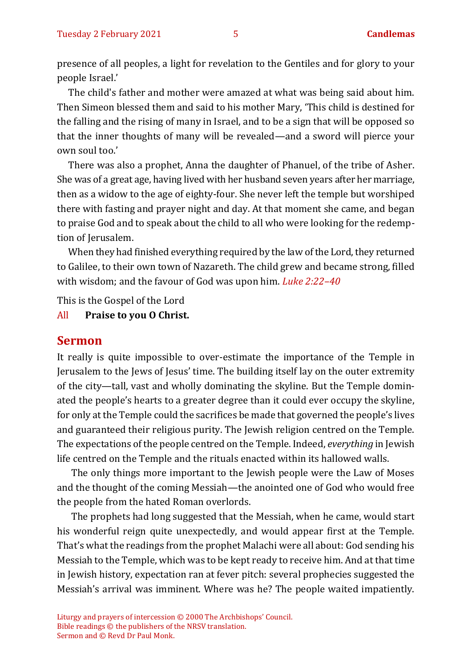presence of all peoples, a light for revelation to the Gentiles and for glory to your people Israel.'

The child's father and mother were amazed at what was being said about him. Then Simeon blessed them and said to his mother Mary, 'This child is destined for the falling and the rising of many in Israel, and to be a sign that will be opposed so that the inner thoughts of many will be revealed—and a sword will pierce your own soul too.'

There was also a prophet, Anna the daughter of Phanuel, of the tribe of Asher. She was of a great age, having lived with her husband seven years after her marriage, then as a widow to the age of eighty-four. She never left the temple but worshiped there with fasting and prayer night and day. At that moment she came, and began to praise God and to speak about the child to all who were looking for the redemption of Jerusalem.

When they had finished everything required by the law of the Lord, they returned to Galilee, to their own town of Nazareth. The child grew and became strong, filled with wisdom; and the favour of God was upon him. *Luke 2:22–40*

This is the Gospel of the Lord

#### All **Praise to you O Christ.**

#### **Sermon**

It really is quite impossible to over-estimate the importance of the Temple in Jerusalem to the Jews of Jesus' time. The building itself lay on the outer extremity of the city—tall, vast and wholly dominating the skyline. But the Temple dominated the people's hearts to a greater degree than it could ever occupy the skyline, for only at the Temple could the sacrifices be made that governed the people's lives and guaranteed their religious purity. The Jewish religion centred on the Temple. The expectations of the people centred on the Temple. Indeed, *everything* in Jewish life centred on the Temple and the rituals enacted within its hallowed walls.

The only things more important to the Jewish people were the Law of Moses and the thought of the coming Messiah—the anointed one of God who would free the people from the hated Roman overlords.

The prophets had long suggested that the Messiah, when he came, would start his wonderful reign quite unexpectedly, and would appear first at the Temple. That's what the readings from the prophet Malachi were all about: God sending his Messiah to the Temple, which was to be kept ready to receive him. And at that time in Jewish history, expectation ran at fever pitch: several prophecies suggested the Messiah's arrival was imminent. Where was he? The people waited impatiently.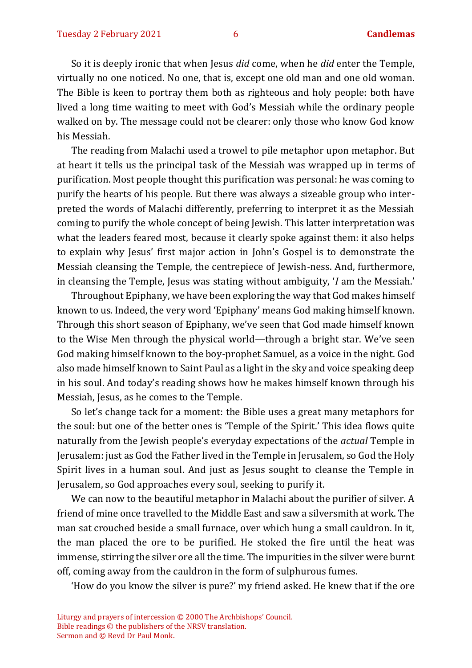So it is deeply ironic that when Jesus *did* come, when he *did* enter the Temple, virtually no one noticed. No one, that is, except one old man and one old woman. The Bible is keen to portray them both as righteous and holy people: both have lived a long time waiting to meet with God's Messiah while the ordinary people walked on by. The message could not be clearer: only those who know God know his Messiah.

The reading from Malachi used a trowel to pile metaphor upon metaphor. But at heart it tells us the principal task of the Messiah was wrapped up in terms of purification. Most people thought this purification was personal: he was coming to purify the hearts of his people. But there was always a sizeable group who interpreted the words of Malachi differently, preferring to interpret it as the Messiah coming to purify the whole concept of being Jewish. This latter interpretation was what the leaders feared most, because it clearly spoke against them: it also helps to explain why Jesus' first major action in John's Gospel is to demonstrate the Messiah cleansing the Temple, the centrepiece of Jewish-ness. And, furthermore, in cleansing the Temple, Jesus was stating without ambiguity, '*I* am the Messiah.'

Throughout Epiphany, we have been exploring the way that God makes himself known to us. Indeed, the very word 'Epiphany' means God making himself known. Through this short season of Epiphany, we've seen that God made himself known to the Wise Men through the physical world—through a bright star. We've seen God making himself known to the boy-prophet Samuel, as a voice in the night. God also made himself known to Saint Paul as a light in the sky and voice speaking deep in his soul. And today's reading shows how he makes himself known through his Messiah, Jesus, as he comes to the Temple.

So let's change tack for a moment: the Bible uses a great many metaphors for the soul: but one of the better ones is 'Temple of the Spirit.' This idea flows quite naturally from the Jewish people's everyday expectations of the *actual* Temple in Jerusalem: just as God the Father lived in the Temple in Jerusalem, so God the Holy Spirit lives in a human soul. And just as Jesus sought to cleanse the Temple in Jerusalem, so God approaches every soul, seeking to purify it.

We can now to the beautiful metaphor in Malachi about the purifier of silver. A friend of mine once travelled to the Middle East and saw a silversmith at work. The man sat crouched beside a small furnace, over which hung a small cauldron. In it, the man placed the ore to be purified. He stoked the fire until the heat was immense, stirring the silver ore all the time. The impurities in the silver were burnt off, coming away from the cauldron in the form of sulphurous fumes.

'How do you know the silver is pure?' my friend asked. He knew that if the ore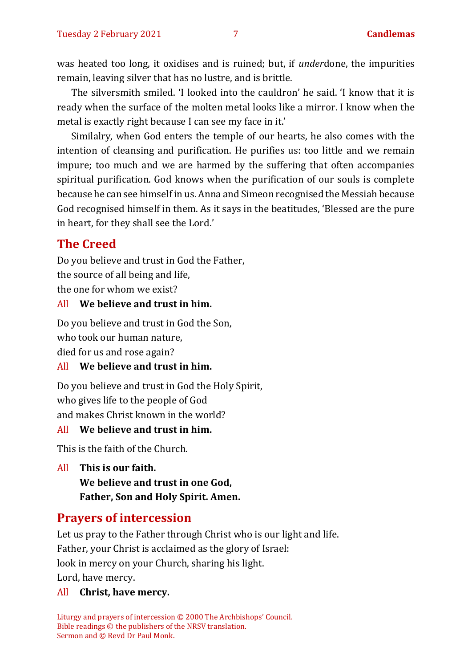was heated too long, it oxidises and is ruined; but, if *under*done, the impurities remain, leaving silver that has no lustre, and is brittle.

The silversmith smiled. 'I looked into the cauldron' he said. 'I know that it is ready when the surface of the molten metal looks like a mirror. I know when the metal is exactly right because I can see my face in it.'

Similalry, when God enters the temple of our hearts, he also comes with the intention of cleansing and purification. He purifies us: too little and we remain impure; too much and we are harmed by the suffering that often accompanies spiritual purification. God knows when the purification of our souls is complete because he can see himself in us. Anna and Simeon recognised the Messiah because God recognised himself in them. As it says in the beatitudes, 'Blessed are the pure in heart, for they shall see the Lord.'

## **The Creed**

Do you believe and trust in God the Father, the source of all being and life, the one for whom we exist?

#### All **We believe and trust in him.**

Do you believe and trust in God the Son, who took our human nature,

died for us and rose again?

#### All **We believe and trust in him.**

Do you believe and trust in God the Holy Spirit, who gives life to the people of God and makes Christ known in the world?

#### All **We believe and trust in him.**

This is the faith of the Church.

All **This is our faith. We believe and trust in one God, Father, Son and Holy Spirit. Amen.**

## **Prayers of intercession**

Let us pray to the Father through Christ who is our light and life. Father, your Christ is acclaimed as the glory of Israel: look in mercy on your Church, sharing his light. Lord, have mercy.

#### All **Christ, have mercy.**

Liturgy and prayers of intercession © 2000 The Archbishops' Council. Bible readings © the publishers of the NRSV translation. Sermon and © Revd Dr Paul Monk.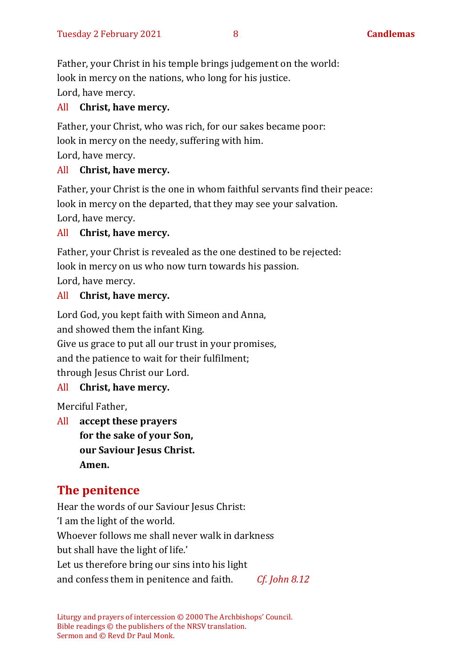Father, your Christ in his temple brings judgement on the world: look in mercy on the nations, who long for his justice. Lord, have mercy.

#### All **Christ, have mercy.**

Father, your Christ, who was rich, for our sakes became poor: look in mercy on the needy, suffering with him. Lord, have mercy.

#### All **Christ, have mercy.**

Father, your Christ is the one in whom faithful servants find their peace: look in mercy on the departed, that they may see your salvation. Lord, have mercy.

#### All **Christ, have mercy.**

Father, your Christ is revealed as the one destined to be rejected: look in mercy on us who now turn towards his passion. Lord, have mercy.

#### All **Christ, have mercy.**

Lord God, you kept faith with Simeon and Anna, and showed them the infant King. Give us grace to put all our trust in your promises, and the patience to wait for their fulfilment;

through Jesus Christ our Lord.

#### All **Christ, have mercy.**

Merciful Father,

All **accept these prayers for the sake of your Son, our Saviour Jesus Christ. Amen.**

## **The penitence**

Hear the words of our Saviour Jesus Christ: 'I am the light of the world. Whoever follows me shall never walk in darkness but shall have the light of life.' Let us therefore bring our sins into his light and confess them in penitence and faith. *Cf. John 8.12*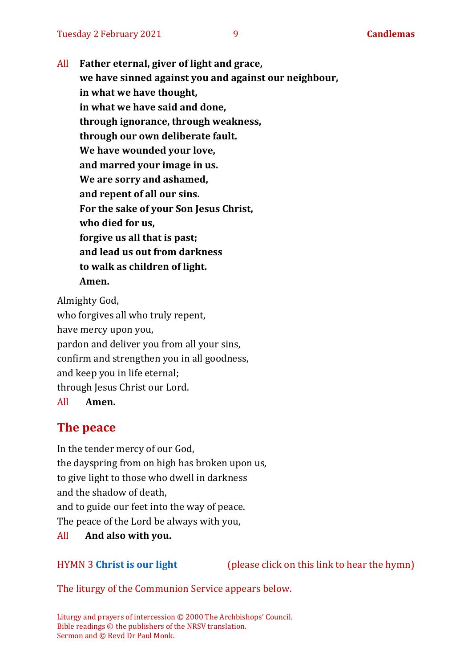All **Father eternal, giver of light and grace, we have sinned against you and against our neighbour, in what we have thought, in what we have said and done, through ignorance, through weakness, through our own deliberate fault. We have wounded your love, and marred your image in us. We are sorry and ashamed, and repent of all our sins. For the sake of your Son Jesus Christ, who died for us, forgive us all that is past; and lead us out from darkness to walk as children of light. Amen.**

Almighty God, who forgives all who truly repent, have mercy upon you, pardon and deliver you from all your sins, confirm and strengthen you in all goodness, and keep you in life eternal; through Jesus Christ our Lord.

All **Amen.**

## **The peace**

In the tender mercy of our God, the dayspring from on high has broken upon us, to give light to those who dwell in darkness and the shadow of death, and to guide our feet into the way of peace. The peace of the Lord be always with you,

All **And also with you.**

#### HYMN 3 **[Christ](https://www.youtube.com/watch?v=hv72Q23lIp0) is our light** (please click on this link to hear the hymn)

The liturgy of the Communion Service appears below.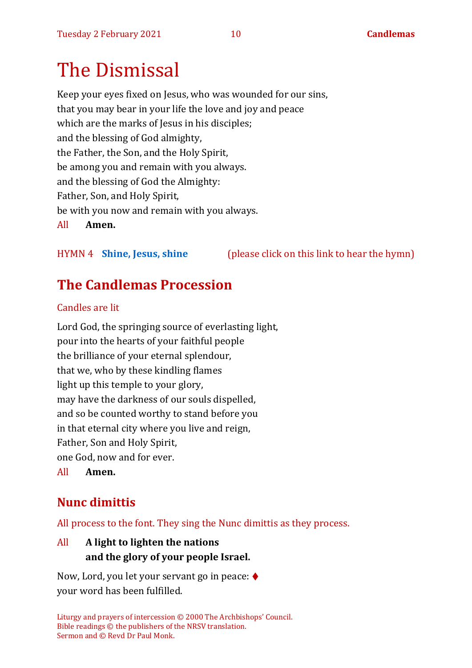# The Dismissal

Keep your eyes fixed on Jesus, who was wounded for our sins, that you may bear in your life the love and joy and peace which are the marks of Jesus in his disciples; and the blessing of God almighty, the Father, the Son, and the Holy Spirit, be among you and remain with you always. and the blessing of God the Almighty: Father, Son, and Holy Spirit, be with you now and remain with you always. All **Amen.**

HYMN 4 **[Shine, Jesus, shine](https://youtu.be/7OIwSQmyCg4)** (please click on this link to hear the hymn)

# **The Candlemas Procession**

## Candles are lit

Lord God, the springing source of everlasting light, pour into the hearts of your faithful people the brilliance of your eternal splendour, that we, who by these kindling flames light up this temple to your glory, may have the darkness of our souls dispelled, and so be counted worthy to stand before you in that eternal city where you live and reign, Father, Son and Holy Spirit, one God, now and for ever. All **Amen.**

# **Nunc dimittis**

All process to the font. They sing the Nunc dimittis as they process.

## All **A light to lighten the nations and the glory of your people Israel.**

Now, Lord, you let your servant go in peace: ♦ your word has been fulfilled.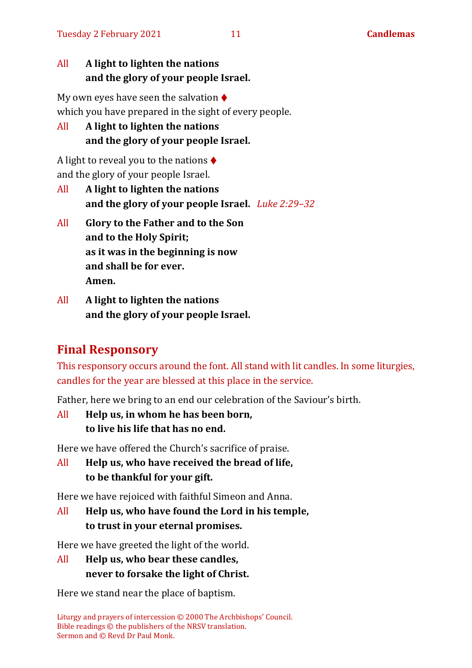## All **A light to lighten the nations and the glory of your people Israel.**

My own eyes have seen the salvation  $\triangle$ which you have prepared in the sight of every people.

All **A light to lighten the nations and the glory of your people Israel.**

A light to reveal you to the nations  $\triangle$ and the glory of your people Israel.

- All **A light to lighten the nations and the glory of your people Israel.** *Luke 2:29–32*
- All **Glory to the Father and to the Son and to the Holy Spirit; as it was in the beginning is now and shall be for ever. Amen.**
- All **A light to lighten the nations and the glory of your people Israel.**

## **Final Responsory**

This responsory occurs around the font. All stand with lit candles. In some liturgies, candles for the year are blessed at this place in the service.

Father, here we bring to an end our celebration of the Saviour's birth.

All **Help us, in whom he has been born, to live his life that has no end.**

Here we have offered the Church's sacrifice of praise.

All **Help us, who have received the bread of life, to be thankful for your gift.**

Here we have rejoiced with faithful Simeon and Anna.

All **Help us, who have found the Lord in his temple, to trust in your eternal promises.**

Here we have greeted the light of the world.

All **Help us, who bear these candles, never to forsake the light of Christ.**

Here we stand near the place of baptism.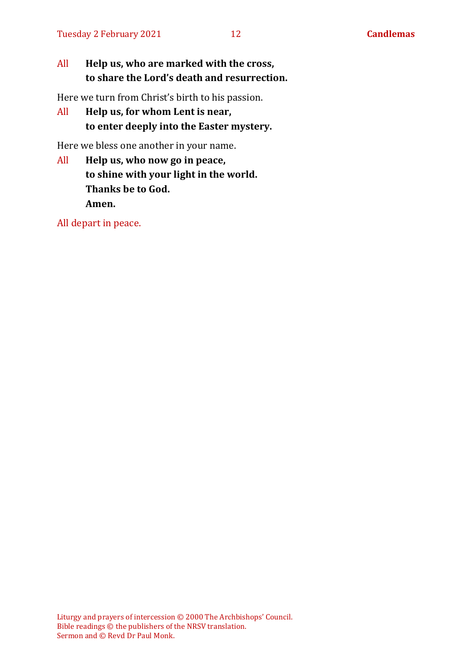### All **Help us, who are marked with the cross, to share the Lord's death and resurrection.**

Here we turn from Christ's birth to his passion.

All **Help us, for whom Lent is near, to enter deeply into the Easter mystery.**

Here we bless one another in your name.

All **Help us, who now go in peace, to shine with your light in the world. Thanks be to God. Amen.**

All depart in peace.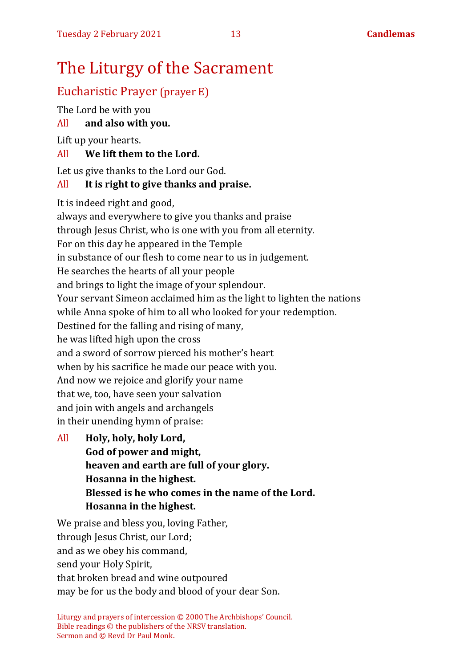# The Liturgy of the Sacrament

## Eucharistic Prayer (prayer E)

The Lord be with you

All **and also with you.**

Lift up your hearts.

## All **We lift them to the Lord.**

Let us give thanks to the Lord our God.

## All **It is right to give thanks and praise.**

It is indeed right and good,

always and everywhere to give you thanks and praise through Jesus Christ, who is one with you from all eternity. For on this day he appeared in the Temple in substance of our flesh to come near to us in judgement. He searches the hearts of all your people and brings to light the image of your splendour. Your servant Simeon acclaimed him as the light to lighten the nations while Anna spoke of him to all who looked for your redemption. Destined for the falling and rising of many, he was lifted high upon the cross and a sword of sorrow pierced his mother's heart when by his sacrifice he made our peace with you. And now we rejoice and glorify your name that we, too, have seen your salvation and join with angels and archangels in their unending hymn of praise:

All **Holy, holy, holy Lord, God of power and might, heaven and earth are full of your glory. Hosanna in the highest. Blessed is he who comes in the name of the Lord. Hosanna in the highest.**

We praise and bless you, loving Father, through Jesus Christ, our Lord; and as we obey his command, send your Holy Spirit, that broken bread and wine outpoured may be for us the body and blood of your dear Son.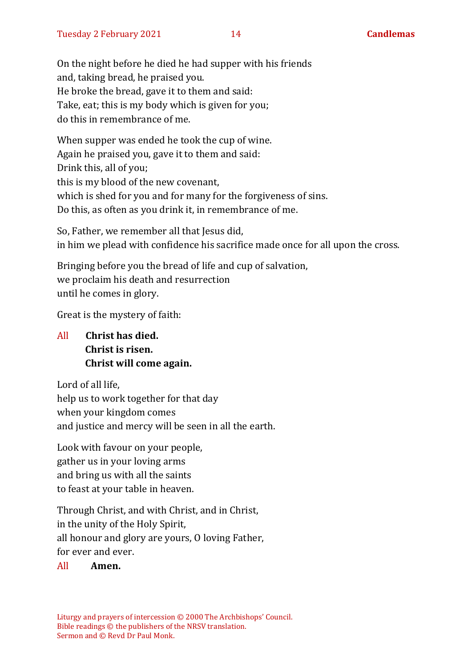On the night before he died he had supper with his friends and, taking bread, he praised you. He broke the bread, gave it to them and said: Take, eat; this is my body which is given for you; do this in remembrance of me.

When supper was ended he took the cup of wine. Again he praised you, gave it to them and said: Drink this, all of you; this is my blood of the new covenant, which is shed for you and for many for the forgiveness of sins. Do this, as often as you drink it, in remembrance of me.

So, Father, we remember all that Jesus did, in him we plead with confidence his sacrifice made once for all upon the cross.

Bringing before you the bread of life and cup of salvation, we proclaim his death and resurrection until he comes in glory.

Great is the mystery of faith:

All **Christ has died. Christ is risen. Christ will come again.**

Lord of all life, help us to work together for that day when your kingdom comes and justice and mercy will be seen in all the earth.

Look with favour on your people, gather us in your loving arms and bring us with all the saints to feast at your table in heaven.

Through Christ, and with Christ, and in Christ, in the unity of the Holy Spirit, all honour and glory are yours, O loving Father, for ever and ever.

#### All **Amen.**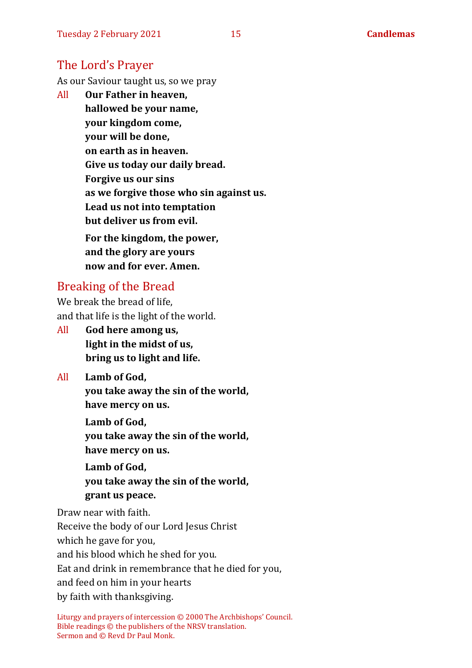## The Lord's Prayer

As our Saviour taught us, so we pray

All **Our Father in heaven, hallowed be your name, your kingdom come, your will be done, on earth as in heaven. Give us today our daily bread. Forgive us our sins as we forgive those who sin against us. Lead us not into temptation but deliver us from evil. For the kingdom, the power, and the glory are yours now and for ever. Amen.**

## Breaking of the Bread

We break the bread of life, and that life is the light of the world.

All **God here among us, light in the midst of us, bring us to light and life.**

All **Lamb of God, you take away the sin of the world, have mercy on us.**

> **Lamb of God, you take away the sin of the world, have mercy on us.**

> **Lamb of God, you take away the sin of the world, grant us peace.**

Draw near with faith.

Receive the body of our Lord Jesus Christ

which he gave for you,

and his blood which he shed for you.

Eat and drink in remembrance that he died for you,

and feed on him in your hearts

by faith with thanksgiving.

Liturgy and prayers of intercession © 2000 The Archbishops' Council. Bible readings © the publishers of the NRSV translation. Sermon and © Revd Dr Paul Monk.